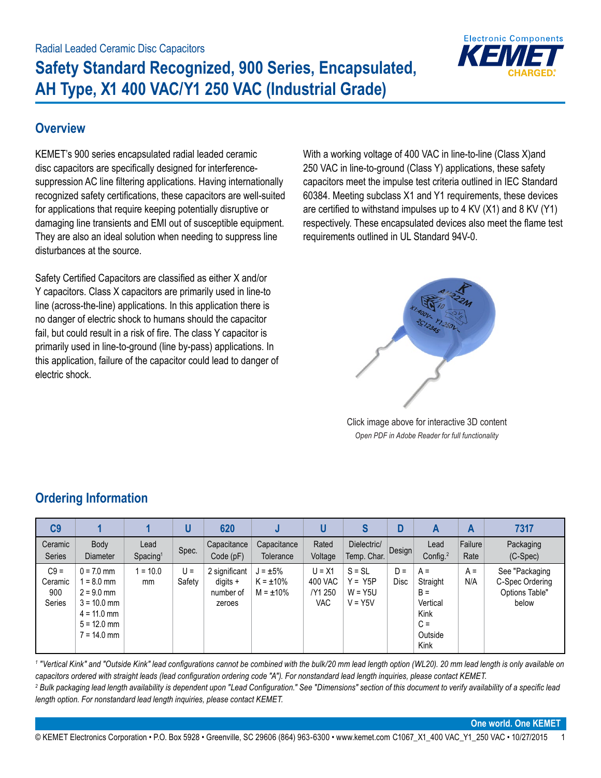

#### **Overview**

KEMET's 900 series encapsulated radial leaded ceramic disc capacitors are specifically designed for interferencesuppression AC line filtering applications. Having internationally recognized safety certifications, these capacitors are well-suited for applications that require keeping potentially disruptive or damaging line transients and EMI out of susceptible equipment. They are also an ideal solution when needing to suppress line disturbances at the source.

Safety Certified Capacitors are classified as either X and/or Y capacitors. Class X capacitors are primarily used in line-to line (across-the-line) applications. In this application there is no danger of electric shock to humans should the capacitor fail, but could result in a risk of fire. The class Y capacitor is primarily used in line-to-ground (line by-pass) applications. In this application, failure of the capacitor could lead to danger of electric shock.

With a working voltage of 400 VAC in line-to-line (Class X)and 250 VAC in line-to-ground (Class Y) applications, these safety capacitors meet the impulse test criteria outlined in IEC Standard 60384. Meeting subclass X1 and Y1 requirements, these devices are certified to withstand impulses up to 4 KV (X1) and 8 KV (Y1) respectively. These encapsulated devices also meet the flame test requirements outlined in UL Standard 94V-0.



Click image above for interactive 3D content *Open PDF in Adobe Reader for full functionality*

| C <sub>9</sub>                            |                                                                                                                |                              | U               | 620                                                |                                                   | U                                     | S                                               | D             | A                                                                          | A               | 7317                                                         |
|-------------------------------------------|----------------------------------------------------------------------------------------------------------------|------------------------------|-----------------|----------------------------------------------------|---------------------------------------------------|---------------------------------------|-------------------------------------------------|---------------|----------------------------------------------------------------------------|-----------------|--------------------------------------------------------------|
| Ceramic<br><b>Series</b>                  | Body<br><b>Diameter</b>                                                                                        | Lead<br>Spacing <sup>1</sup> | Spec.           | Capacitance<br>Code (pF)                           | Capacitance<br>Tolerance                          | Rated<br>Voltage                      | Dielectric/<br>Temp. Char.                      | <b>Design</b> | Lead<br>Config. $2$                                                        | Failure<br>Rate | Packaging<br>$(C-Spec)$                                      |
| $C9 =$<br>Ceramic<br>900<br><b>Series</b> | $0 = 7.0$ mm<br>$= 8.0$ mm<br>$2 = 9.0$ mm<br>$3 = 10.0$ mm<br>$4 = 11.0$ mm<br>$5 = 12.0$ mm<br>$7 = 14.0$ mm | $= 10.0$<br>mm               | $U =$<br>Safety | 2 significant<br>$diqits +$<br>number of<br>zeroes | $J = \pm 5\%$<br>$K = \pm 10\%$<br>$M = \pm 10\%$ | $U = X1$<br>400 VAC<br>/Y1 250<br>VAC | $S = SL$<br>$Y = Y5P$<br>$W = Y5U$<br>$V = Y5V$ | $D =$<br>Disc | $A =$<br>Straight<br>$B =$<br>Vertical<br>Kink<br>$C =$<br>Outside<br>Kink | $A =$<br>N/A    | See "Packaging<br>C-Spec Ordering<br>Options Table"<br>below |

# **Ordering Information**

<sup>1</sup> "Vertical Kink" and "Outside Kink" lead configurations cannot be combined with the bulk/20 mm lead length option (WL20). 20 mm lead length is only available on *capacitors ordered with straight leads (lead configuration ordering code "A"). For nonstandard lead length inquiries, please contact KEMET.* <sup>2</sup> Bulk packaging lead length availability is dependent upon "Lead Configuration." See "Dimensions" section of this document to verify availability of a specific lead *length option. For nonstandard lead length inquiries, please contact KEMET.*

**One world. One KEMET**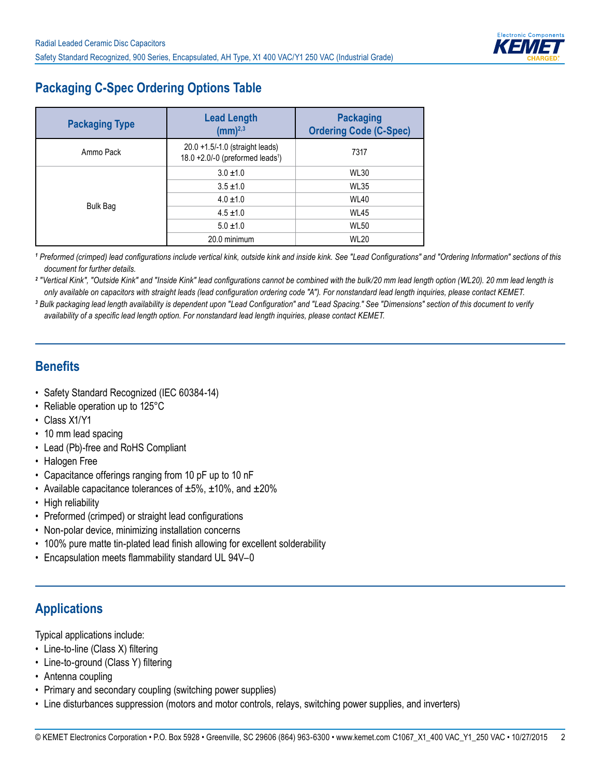

# **Packaging C-Spec Ordering Options Table**

| <b>Packaging Type</b> | <b>Lead Length</b><br>$(mm)^{2,3}$                                              | <b>Packaging</b><br><b>Ordering Code (C-Spec)</b> |
|-----------------------|---------------------------------------------------------------------------------|---------------------------------------------------|
| Ammo Pack             | 20.0 +1.5/-1.0 (straight leads)<br>18.0 +2.0/-0 (preformed leads <sup>1</sup> ) | 7317                                              |
|                       | $3.0 \pm 1.0$                                                                   | <b>WL30</b>                                       |
|                       | $3.5 \pm 1.0$                                                                   | <b>WL35</b>                                       |
|                       | $4.0 \pm 1.0$                                                                   | <b>WL40</b>                                       |
| <b>Bulk Bag</b>       | $4.5 \pm 1.0$                                                                   | <b>WL45</b>                                       |
|                       | $5.0 \pm 1.0$                                                                   | <b>WL50</b>                                       |
|                       | 20.0 minimum                                                                    | <b>WL20</b>                                       |

*1 Preformed (crimped) lead configurations include vertical kink, outside kink and inside kink. See "Lead Configurations" and "Ordering Information" sections of this document for further details.*

*2 "Vertical Kink", "Outside Kink" and "Inside Kink" lead configurations cannot be combined with the bulk/20 mm lead length option (WL20). 20 mm lead length is only available on capacitors with straight leads (lead configuration ordering code "A"). For nonstandard lead length inquiries, please contact KEMET.*

*3 Bulk packaging lead length availability is dependent upon "Lead Configuration" and "Lead Spacing." See "Dimensions" section of this document to verify availability of a specific lead length option. For nonstandard lead length inquiries, please contact KEMET.*

#### **Benefits**

- Safety Standard Recognized (IEC 60384-14)
- Reliable operation up to 125°C
- Class X1/Y1
- 10 mm lead spacing
- Lead (Pb)-free and RoHS Compliant
- Halogen Free
- Capacitance offerings ranging from 10 pF up to 10 nF
- Available capacitance tolerances of  $\pm 5\%$ ,  $\pm 10\%$ , and  $\pm 20\%$
- High reliability
- Preformed (crimped) or straight lead configurations
- Non-polar device, minimizing installation concerns
- 100% pure matte tin-plated lead finish allowing for excellent solderability
- Encapsulation meets flammability standard UL 94V–0

## **Applications**

Typical applications include:

- Line-to-line (Class X) filtering
- Line-to-ground (Class Y) filtering
- Antenna coupling
- Primary and secondary coupling (switching power supplies)
- Line disturbances suppression (motors and motor controls, relays, switching power supplies, and inverters)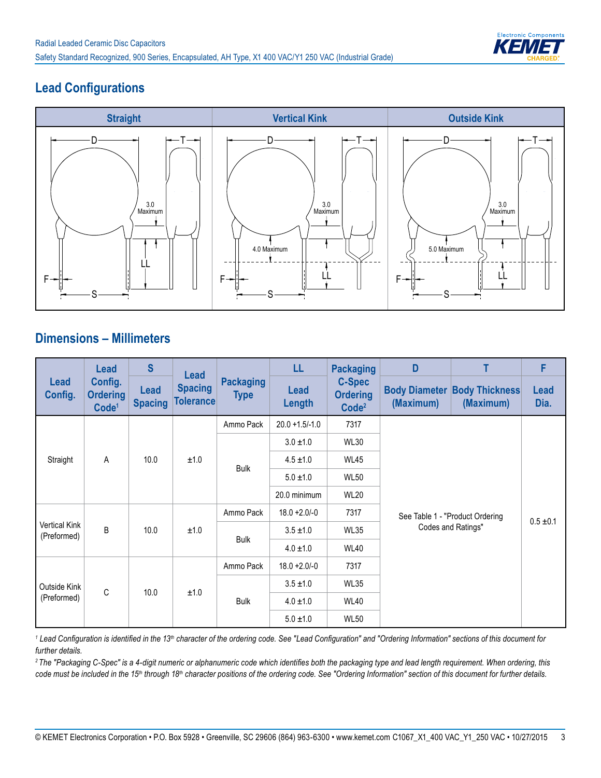

## **Lead Configurations**



#### **Dimensions – Millimeters**

|                                     | <b>Lead</b>                                     | $\mathbf{s}$                  | <b>Lead</b>                        |                                 | LL                    | <b>Packaging</b>                                      | D                                 | т                                  | F                   |  |
|-------------------------------------|-------------------------------------------------|-------------------------------|------------------------------------|---------------------------------|-----------------------|-------------------------------------------------------|-----------------------------------|------------------------------------|---------------------|--|
| <b>Lead</b><br>Config.              | Config.<br><b>Ordering</b><br>Code <sup>1</sup> | <b>Lead</b><br><b>Spacing</b> | <b>Spacing</b><br><b>Tolerance</b> | <b>Packaging</b><br><b>Type</b> | <b>Lead</b><br>Length | <b>C-Spec</b><br><b>Ordering</b><br>Code <sup>2</sup> | <b>Body Diameter</b><br>(Maximum) | <b>Body Thickness</b><br>(Maximum) | <b>Lead</b><br>Dia. |  |
|                                     |                                                 |                               |                                    | Ammo Pack                       | $20.0 + 1.5/-1.0$     | 7317                                                  |                                   |                                    |                     |  |
|                                     |                                                 |                               |                                    |                                 | $3.0 \pm 1.0$         | <b>WL30</b>                                           |                                   |                                    |                     |  |
| Straight                            | A                                               | 10.0                          | ±1.0                               |                                 | $4.5 \pm 1.0$         | <b>WL45</b>                                           |                                   |                                    |                     |  |
|                                     |                                                 |                               |                                    | <b>Bulk</b>                     | $5.0 \pm 1.0$         | <b>WL50</b>                                           |                                   | $0.5 \pm 0.1$                      |                     |  |
|                                     |                                                 |                               |                                    |                                 | 20.0 minimum          | <b>WL20</b>                                           |                                   |                                    |                     |  |
|                                     |                                                 |                               |                                    | Ammo Pack                       | $18.0 + 2.0 - 0$      | 7317                                                  | See Table 1 - "Product Ordering   |                                    |                     |  |
| <b>Vertical Kink</b><br>(Preformed) | B                                               | 10.0                          | ±1.0                               |                                 | $3.5 \pm 1.0$         | <b>WL35</b>                                           | Codes and Ratings"                |                                    |                     |  |
|                                     |                                                 |                               |                                    | <b>Bulk</b>                     | $4.0 \pm 1.0$         | <b>WL40</b>                                           |                                   |                                    |                     |  |
|                                     |                                                 |                               |                                    | Ammo Pack                       | $18.0 + 2.0/-0$       | 7317                                                  |                                   |                                    |                     |  |
| Outside Kink                        | C                                               |                               | ±1.0                               |                                 | $3.5 \pm 1.0$         | <b>WL35</b>                                           |                                   |                                    |                     |  |
| (Preformed)                         |                                                 | 10.0                          |                                    | <b>Bulk</b>                     | $4.0 \pm 1.0$         | <b>WL40</b>                                           |                                   |                                    |                     |  |
|                                     |                                                 |                               |                                    |                                 | $5.0 \pm 1.0$         | <b>WL50</b>                                           |                                   |                                    |                     |  |

*1 Lead Configuration is identified in the 13th character of the ordering code. See "Lead Configuration" and "Ordering Information" sections of this document for further details.*

*2 The "Packaging C-Spec" is a 4-digit numeric or alphanumeric code which identifies both the packaging type and lead length requirement. When ordering, this*  code must be included in the 15<sup>th</sup> through 18<sup>th</sup> character positions of the ordering code. See "Ordering Information" section of this document for further details.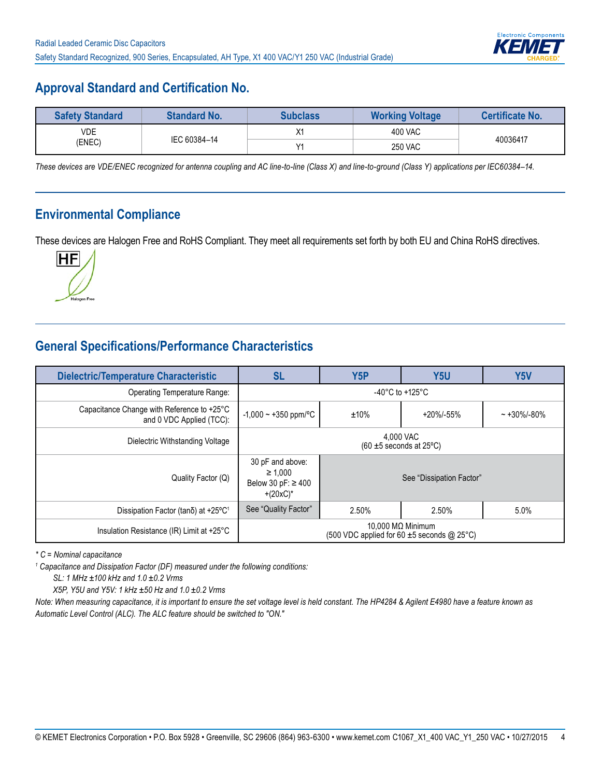

### **Approval Standard and Certification No.**

| <b>Safety Standard</b> | <b>Standard No.</b> | Subclass   | <b>Working Voltage</b> | <b>Certificate No.</b> |
|------------------------|---------------------|------------|------------------------|------------------------|
| VDE.                   | IEC 60384-14        |            | 400 VAC                | 40036417               |
| (ENEC)                 |                     | $\sqrt{4}$ | <b>250 VAC</b>         |                        |

*These devices are VDE/ENEC recognized for antenna coupling and AC line-to-line (Class X) and line-to-ground (Class Y) applications per IEC60384–14.*

#### **Environmental Compliance**

These devices are Halogen Free and RoHS Compliant. They meet all requirements set forth by both EU and China RoHS directives.



## **General Specifications/Performance Characteristics**

| <b>Dielectric/Temperature Characteristic</b>                           | <b>SL</b>                                                                  | Y5P                                   | Y <sub>5U</sub> | Y <sub>5</sub> V |  |
|------------------------------------------------------------------------|----------------------------------------------------------------------------|---------------------------------------|-----------------|------------------|--|
| Operating Temperature Range:                                           |                                                                            | -40 $^{\circ}$ C to +125 $^{\circ}$ C |                 |                  |  |
| Capacitance Change with Reference to +25°C<br>and 0 VDC Applied (TCC): | $-1,000 - +350$ ppm/°C<br>$±10\%$<br>$+20\% - 55\%$                        |                                       |                 | $~1.30\%$ /-80%  |  |
| Dielectric Withstanding Voltage                                        | 4.000 VAC<br>$(60 \pm 5$ seconds at 25°C)                                  |                                       |                 |                  |  |
| Quality Factor (Q)                                                     | 30 pF and above:<br>$\geq 1.000$<br>Below 30 pF: $\geq$ 400<br>$+(20xC)^*$ | See "Dissipation Factor"              |                 |                  |  |
| Dissipation Factor (tanδ) at +25°C <sup>1</sup>                        | See "Quality Factor"                                                       | 2.50%                                 | 2.50%           | $5.0\%$          |  |
| Insulation Resistance (IR) Limit at +25°C                              | 10,000 MΩ Minimum<br>(500 VDC applied for 60 $\pm$ 5 seconds @ 25°C)       |                                       |                 |                  |  |

*\* C = Nominal capacitance*

<sup>1</sup> Capacitance and Dissipation Factor (DF) measured under the following conditions:

*SL: 1 MHz ±100 kHz and 1.0 ±0.2 Vrms* 

*X5P, Y5U and Y5V: 1 kHz ±50 Hz and 1.0 ±0.2 Vrms* 

*Note: When measuring capacitance, it is important to ensure the set voltage level is held constant. The HP4284 & Agilent E4980 have a feature known as Automatic Level Control (ALC). The ALC feature should be switched to "ON."*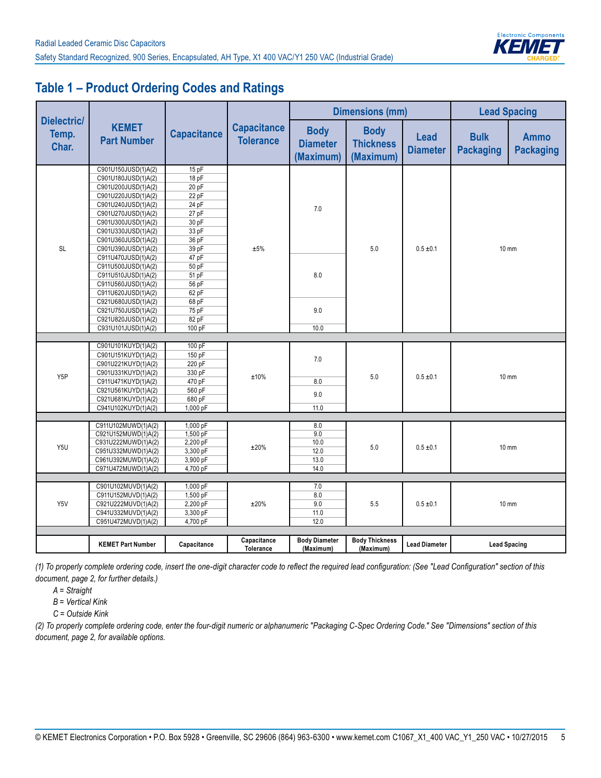

## **Table 1 – Product Ordering Codes and Ratings**

|                                      |                                            |                    |                                        | <b>Dimensions (mm)</b>                      |                                              |                                |                                 | <b>Lead Spacing</b>             |  |
|--------------------------------------|--------------------------------------------|--------------------|----------------------------------------|---------------------------------------------|----------------------------------------------|--------------------------------|---------------------------------|---------------------------------|--|
| <b>Dielectric/</b><br>Temp.<br>Char. | <b>KEMET</b><br><b>Part Number</b>         | <b>Capacitance</b> | <b>Capacitance</b><br><b>Tolerance</b> | <b>Body</b><br><b>Diameter</b><br>(Maximum) | <b>Body</b><br><b>Thickness</b><br>(Maximum) | <b>Lead</b><br><b>Diameter</b> | <b>Bulk</b><br><b>Packaging</b> | <b>Ammo</b><br><b>Packaging</b> |  |
|                                      | C901U150JUSD(1)A(2)                        | 15pF               |                                        |                                             |                                              |                                |                                 |                                 |  |
|                                      | C901U180JUSD(1)A(2)                        | 18 pF              |                                        |                                             |                                              |                                |                                 |                                 |  |
|                                      | C901U200JUSD(1)A(2)                        | 20pF               |                                        |                                             |                                              |                                |                                 |                                 |  |
|                                      | C901U220JUSD(1)A(2)                        | 22 pF              |                                        |                                             |                                              |                                |                                 |                                 |  |
|                                      | C901U240JUSD(1)A(2)                        | 24 pF              |                                        | 7.0                                         |                                              |                                |                                 |                                 |  |
|                                      | C901U270JUSD(1)A(2)                        | 27 pF              |                                        |                                             |                                              |                                |                                 |                                 |  |
|                                      | C901U300JUSD(1)A(2)                        | 30 pF              |                                        |                                             |                                              |                                |                                 |                                 |  |
|                                      | C901U330JUSD(1)A(2)                        | 33 pF              |                                        |                                             |                                              |                                |                                 |                                 |  |
|                                      | C901U360JUSD(1)A(2)                        | 36 pF              |                                        |                                             |                                              |                                |                                 |                                 |  |
| <b>SL</b>                            | C901U390JUSD(1)A(2)                        | 39 pF              | ±5%                                    |                                             | 5.0                                          | $0.5 \pm 0.1$                  |                                 | $10 \text{ mm}$                 |  |
|                                      | C911U470JUSD(1)A(2)                        | 47 pF              |                                        |                                             |                                              |                                |                                 |                                 |  |
|                                      | C911U500JUSD(1)A(2)                        | 50 pF              |                                        |                                             |                                              |                                |                                 |                                 |  |
|                                      | C911U510JUSD(1)A(2)                        | 51 pF              |                                        | 8.0                                         |                                              |                                |                                 |                                 |  |
|                                      | C911U560JUSD(1)A(2)                        | 56 pF              |                                        |                                             |                                              |                                |                                 |                                 |  |
|                                      | C911U620JUSD(1)A(2)                        | 62 pF              |                                        |                                             |                                              |                                |                                 |                                 |  |
|                                      | C921U680JUSD(1)A(2)                        | 68 pF              |                                        | 9.0                                         |                                              |                                |                                 |                                 |  |
|                                      | C921U750JUSD(1)A(2)                        | 75 pF<br>82 pF     |                                        |                                             |                                              |                                |                                 |                                 |  |
|                                      | C921U820JUSD(1)A(2)<br>C931U101JUSD(1)A(2) | 100 pF             |                                        | 10.0                                        |                                              |                                |                                 |                                 |  |
|                                      |                                            |                    |                                        |                                             |                                              |                                |                                 |                                 |  |
|                                      | C901U101KUYD(1)A(2)                        | 100 pF             |                                        |                                             |                                              |                                |                                 |                                 |  |
|                                      | C901U151KUYD(1)A(2)                        | 150 pF             |                                        |                                             |                                              |                                |                                 |                                 |  |
|                                      | C901U221KUYD(1)A(2)                        | 220 pF             |                                        | 7.0                                         |                                              |                                |                                 |                                 |  |
|                                      | C901U331KUYD(1)A(2)                        | 330 pF             |                                        |                                             |                                              |                                |                                 |                                 |  |
| Y <sub>5</sub> P                     | C911U471KUYD(1)A(2)                        | 470 pF             | ±10%                                   | 8.0                                         | 5.0                                          | $0.5 \pm 0.1$                  | $10 \text{ mm}$                 |                                 |  |
|                                      | C921U561KUYD(1)A(2)                        | 560 pF             |                                        |                                             |                                              |                                |                                 |                                 |  |
|                                      | C921U681KUYD(1)A(2)                        | 680 pF             |                                        | 9.0                                         |                                              |                                |                                 |                                 |  |
|                                      | C941U102KUYD(1)A(2)                        | 1,000 pF           |                                        | 11.0                                        |                                              |                                |                                 |                                 |  |
|                                      |                                            |                    |                                        |                                             |                                              |                                |                                 |                                 |  |
|                                      | C911U102MUWD(1)A(2)                        | 1,000 pF           |                                        | 8.0                                         |                                              |                                |                                 |                                 |  |
|                                      | C921U152MUWD(1)A(2)                        | 1,500 pF           |                                        | 9.0                                         |                                              |                                |                                 |                                 |  |
| Y5U                                  | C931U222MUWD(1)A(2)                        | 2,200 pF           | ±20%                                   | 10.0                                        | 5.0                                          | $0.5 \pm 0.1$                  |                                 | $10 \text{ mm}$                 |  |
|                                      | C951U332MUWD(1)A(2)                        | 3,300 pF           |                                        | 12.0                                        |                                              |                                |                                 |                                 |  |
|                                      | C961U392MUWD(1)A(2)                        | 3,900 pF           |                                        | 13.0                                        |                                              |                                |                                 |                                 |  |
|                                      | C971U472MUWD(1)A(2)                        | 4,700 pF           |                                        | 14.0                                        |                                              |                                |                                 |                                 |  |
|                                      | C901U102MUVD(1)A(2)                        | 1,000 pF           |                                        | $7.0$                                       |                                              |                                |                                 |                                 |  |
|                                      | C911U152MUVD(1)A(2)                        | 1,500 pF           |                                        | 8.0                                         |                                              |                                |                                 |                                 |  |
| Y5V                                  | C921U222MUVD(1)A(2)                        | 2,200 pF           | ±20%                                   | 9.0                                         | 5.5                                          | $0.5 \pm 0.1$                  |                                 | $10 \, \text{mm}$               |  |
|                                      | C941U332MUVD(1)A(2)                        | 3,300 pF           |                                        | 11.0                                        |                                              |                                |                                 |                                 |  |
|                                      | C951U472MUVD(1)A(2)                        | 4,700 pF           |                                        | 12.0                                        |                                              |                                |                                 |                                 |  |
|                                      |                                            |                    |                                        |                                             |                                              |                                |                                 |                                 |  |
|                                      | <b>KEMET Part Number</b>                   | Capacitance        | Capacitance<br>Tolerance               | <b>Body Diameter</b><br>(Maximum)           | <b>Body Thickness</b><br>(Maximum)           | <b>Lead Diameter</b>           |                                 | <b>Lead Spacing</b>             |  |

*(1) To properly complete ordering code, insert the one-digit character code to reflect the required lead configuration: (See "Lead Configuration" section of this document, page 2, for further details.)*

*A = Straight*

*B = Vertical Kink*

*C = Outside Kink*

*(2) To properly complete ordering code, enter the four-digit numeric or alphanumeric "Packaging C-Spec Ordering Code." See "Dimensions" section of this document, page 2, for available options.*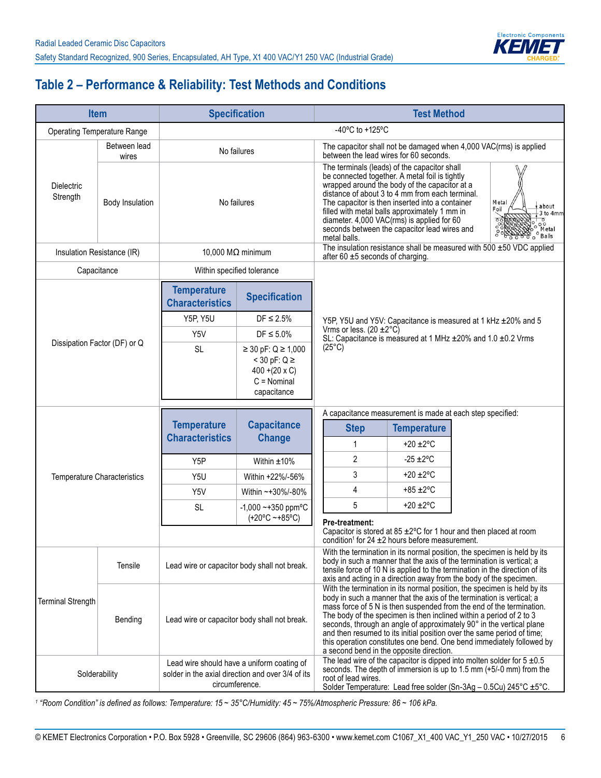

# **Table 2 – Performance & Reliability: Test Methods and Conditions**

| <b>Item</b>                                      |                       | <b>Specification</b>                         |                                                                                                                   | <b>Test Method</b>                                                                                                                                                                                                                                                                                                                                                                                                                                                                                                                                                      |                                     |                                                                           |  |
|--------------------------------------------------|-----------------------|----------------------------------------------|-------------------------------------------------------------------------------------------------------------------|-------------------------------------------------------------------------------------------------------------------------------------------------------------------------------------------------------------------------------------------------------------------------------------------------------------------------------------------------------------------------------------------------------------------------------------------------------------------------------------------------------------------------------------------------------------------------|-------------------------------------|---------------------------------------------------------------------------|--|
| <b>Operating Temperature Range</b>               |                       |                                              |                                                                                                                   | -40°C to +125°C                                                                                                                                                                                                                                                                                                                                                                                                                                                                                                                                                         |                                     |                                                                           |  |
|                                                  | Between lead<br>wires |                                              | No failures                                                                                                       | The capacitor shall not be damaged when 4,000 VAC(rms) is applied<br>between the lead wires for 60 seconds.                                                                                                                                                                                                                                                                                                                                                                                                                                                             |                                     |                                                                           |  |
| <b>Dielectric</b><br>Strength<br>Body Insulation |                       | No failures                                  |                                                                                                                   | The terminals (leads) of the capacitor shall<br>be connected together. A metal foil is tightly<br>wrapped around the body of the capacitor at a<br>distance of about 3 to 4 mm from each terminal.<br>The capacitor is then inserted into a container<br>Metal<br>about<br>Foil<br>filled with metal balls approximately 1 mm in<br>$-3$ to $4mm$<br>diameter. 4,000 VAC(rms) is applied for 60<br>$\sqrt{\frac{6}{100}}$<br>seconds between the capacitor lead wires and<br>Metal<br>$\int_{0}^{\infty}$ Balls<br>metal balls.                                         |                                     |                                                                           |  |
| Insulation Resistance (IR)                       |                       |                                              | 10,000 $M\Omega$ minimum                                                                                          | after 60 $\pm$ 5 seconds of charging.                                                                                                                                                                                                                                                                                                                                                                                                                                                                                                                                   |                                     | The insulation resistance shall be measured with 500 $\pm$ 50 VDC applied |  |
| Capacitance                                      |                       |                                              | Within specified tolerance                                                                                        |                                                                                                                                                                                                                                                                                                                                                                                                                                                                                                                                                                         |                                     |                                                                           |  |
|                                                  |                       | <b>Temperature</b><br><b>Characteristics</b> | <b>Specification</b>                                                                                              |                                                                                                                                                                                                                                                                                                                                                                                                                                                                                                                                                                         |                                     |                                                                           |  |
|                                                  |                       | <b>Y5P, Y5U</b>                              | $DF \leq 2.5\%$                                                                                                   |                                                                                                                                                                                                                                                                                                                                                                                                                                                                                                                                                                         |                                     | Y5P, Y5U and Y5V: Capacitance is measured at 1 kHz ±20% and 5             |  |
|                                                  |                       | Y5V                                          | $DF \leq 5.0\%$                                                                                                   | Vrms or less. $(20 \pm 2^{\circ}C)$<br>SL: Capacitance is measured at 1 MHz ±20% and 1.0 ±0.2 Vrms                                                                                                                                                                                                                                                                                                                                                                                                                                                                      |                                     |                                                                           |  |
| Dissipation Factor (DF) or Q                     |                       | <b>SL</b>                                    | ≥ 30 pF: Q ≥ 1,000<br>$<$ 30 pF: Q $\ge$<br>$400 + (20 \times C)$<br>$C = Nominal$<br>capacitance                 | $(25^{\circ}C)$                                                                                                                                                                                                                                                                                                                                                                                                                                                                                                                                                         |                                     |                                                                           |  |
|                                                  |                       |                                              |                                                                                                                   | A capacitance measurement is made at each step specified:                                                                                                                                                                                                                                                                                                                                                                                                                                                                                                               |                                     |                                                                           |  |
|                                                  |                       | <b>Temperature</b><br><b>Characteristics</b> | <b>Capacitance</b><br><b>Change</b>                                                                               | <b>Step</b><br>$\mathbf{1}$                                                                                                                                                                                                                                                                                                                                                                                                                                                                                                                                             | <b>Temperature</b><br>+20 $\pm$ 2°C |                                                                           |  |
|                                                  |                       | Y <sub>5</sub> P                             | Within $±10\%$                                                                                                    | $\overline{2}$                                                                                                                                                                                                                                                                                                                                                                                                                                                                                                                                                          | $-25 \pm 2^{\circ}$ C               |                                                                           |  |
| Temperature Characteristics                      |                       | Y5U                                          | Within +22%/-56%                                                                                                  | 3                                                                                                                                                                                                                                                                                                                                                                                                                                                                                                                                                                       | +20 $\pm$ 2°C                       |                                                                           |  |
|                                                  |                       | Y5V                                          | Within ~+30%/-80%                                                                                                 | 4                                                                                                                                                                                                                                                                                                                                                                                                                                                                                                                                                                       | $+85 \pm 2$ °C                      |                                                                           |  |
|                                                  |                       | <b>SL</b>                                    | $-1,000 - +350$ ppm°C                                                                                             | 5                                                                                                                                                                                                                                                                                                                                                                                                                                                                                                                                                                       | +20 $\pm$ 2°C                       |                                                                           |  |
|                                                  |                       |                                              | $(+20°C - +85°C)$                                                                                                 | Pre-treatment:<br>Capacitor is stored at 85 $\pm$ 2°C for 1 hour and then placed at room<br>condition <sup>1</sup> for 24 $\pm$ 2 hours before measurement.                                                                                                                                                                                                                                                                                                                                                                                                             |                                     |                                                                           |  |
|                                                  | Tensile               |                                              | Lead wire or capacitor body shall not break.                                                                      | With the termination in its normal position, the specimen is held by its<br>body in such a manner that the axis of the termination is vertical; a<br>tensile force of 10 N is applied to the termination in the direction of its<br>axis and acting in a direction away from the body of the specimen.                                                                                                                                                                                                                                                                  |                                     |                                                                           |  |
| <b>Terminal Strength</b>                         | Bending               | Lead wire or capacitor body shall not break. |                                                                                                                   | With the termination in its normal position, the specimen is held by its<br>body in such a manner that the axis of the termination is vertical; a<br>mass force of 5 N is then suspended from the end of the termination.<br>The body of the specimen is then inclined within a period of 2 to 3<br>seconds, through an angle of approximately 90° in the vertical plane<br>and then resumed to its initial position over the same period of time;<br>this operation constitutes one bend. One bend immediately followed by<br>a second bend in the opposite direction. |                                     |                                                                           |  |
|                                                  | Solderability         |                                              | Lead wire should have a uniform coating of<br>solder in the axial direction and over 3/4 of its<br>circumference. | The lead wire of the capacitor is dipped into molten solder for $5 \pm 0.5$<br>seconds. The depth of immersion is up to 1.5 mm (+5/-0 mm) from the<br>root of lead wires.<br>Solder Temperature: Lead free solder (Sn-3Ag - 0.5Cu) 245°C ±5°C.                                                                                                                                                                                                                                                                                                                          |                                     |                                                                           |  |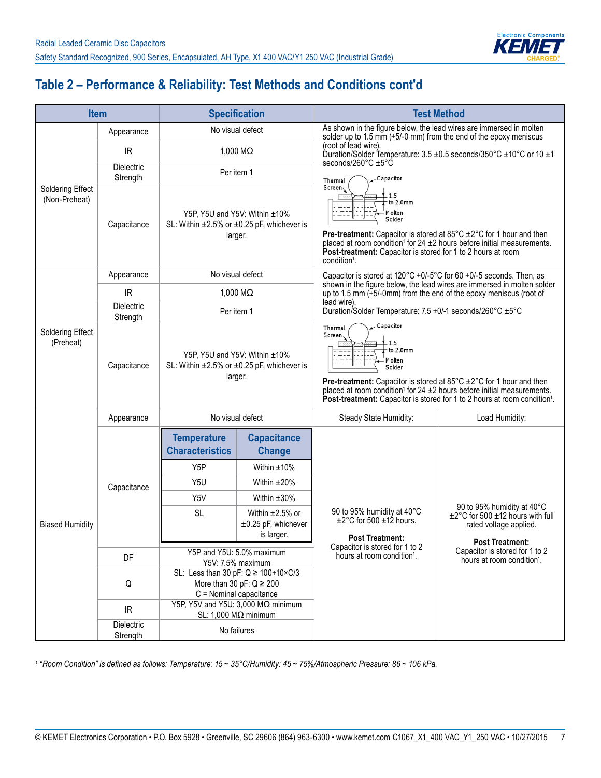

# **Table 2 – Performance & Reliability: Test Methods and Conditions cont'd**

| <b>Item</b>                              |                               | <b>Specification</b>                                                                   |                                                                                                           | <b>Test Method</b>                                                                                                                                                                                                                                                                                                                                                             |                                                                                                    |  |  |
|------------------------------------------|-------------------------------|----------------------------------------------------------------------------------------|-----------------------------------------------------------------------------------------------------------|--------------------------------------------------------------------------------------------------------------------------------------------------------------------------------------------------------------------------------------------------------------------------------------------------------------------------------------------------------------------------------|----------------------------------------------------------------------------------------------------|--|--|
|                                          | Appearance                    |                                                                                        | No visual defect                                                                                          | As shown in the figure below, the lead wires are immersed in molten<br>solder up to 1.5 mm (+5/-0 mm) from the end of the epoxy meniscus                                                                                                                                                                                                                                       |                                                                                                    |  |  |
|                                          | <b>IR</b>                     |                                                                                        | 1,000 $\mathsf{M}\Omega$                                                                                  | (root of lead wire).                                                                                                                                                                                                                                                                                                                                                           | Duration/Solder Temperature: 3.5 ±0.5 seconds/350°C ±10°C or 10 ±1                                 |  |  |
|                                          | <b>Dielectric</b><br>Strength |                                                                                        | Per item 1                                                                                                | seconds/260 $\degree$ C $\pm$ 5 $\degree$ C<br>Capacitor<br>Thermal                                                                                                                                                                                                                                                                                                            |                                                                                                    |  |  |
| <b>Soldering Effect</b><br>(Non-Preheat) | Capacitance                   | Y5P, Y5U and Y5V: Within ±10%<br>SL: Within ±2.5% or ±0.25 pF, whichever is<br>larger. |                                                                                                           | Screen,<br>to 2.0mm<br>M olten<br>Solder<br>Pre-treatment: Capacitor is stored at 85°C ±2°C for 1 hour and then<br>placed at room condition <sup>1</sup> for 24 $\pm$ 2 hours before initial measurements.<br>Post-treatment: Capacitor is stored for 1 to 2 hours at room<br>condition <sup>1</sup> .                                                                         |                                                                                                    |  |  |
|                                          | Appearance                    |                                                                                        | No visual defect                                                                                          | Capacitor is stored at $120^{\circ}$ C +0/-5 $^{\circ}$ C for 60 +0/-5 seconds. Then, as                                                                                                                                                                                                                                                                                       |                                                                                                    |  |  |
|                                          | <b>IR</b>                     |                                                                                        | 1,000 $M\Omega$                                                                                           | up to 1.5 mm $(+5/-0$ mm) from the end of the epoxy meniscus (root of                                                                                                                                                                                                                                                                                                          | shown in the figure below, the lead wires are immersed in molten solder                            |  |  |
|                                          | <b>Dielectric</b><br>Strength | Per item 1                                                                             |                                                                                                           | lead wire).<br>Duration/Solder Temperature: 7.5 +0/-1 seconds/260°C ±5°C                                                                                                                                                                                                                                                                                                       |                                                                                                    |  |  |
| Soldering Effect<br>(Preheat)            | Capacitance                   |                                                                                        | Y5P, Y5U and Y5V: Within ±10%<br>SL: Within ±2.5% or ±0.25 pF, whichever is<br>larger.                    | Capacitor<br>Thermal<br>Screen <sub>1</sub><br>1.5<br>to $2.0mm$<br>M olten<br>Solder<br><b>Pre-treatment:</b> Capacitor is stored at $85^{\circ}$ C $\pm 2^{\circ}$ C for 1 hour and then<br>placed at room condition <sup>1</sup> for 24 $\pm$ 2 hours before initial measurements.<br>Post-treatment: Capacitor is stored for 1 to 2 hours at room condition <sup>1</sup> . |                                                                                                    |  |  |
|                                          | Appearance                    |                                                                                        | No visual defect                                                                                          | Steady State Humidity:                                                                                                                                                                                                                                                                                                                                                         | Load Humidity:                                                                                     |  |  |
|                                          |                               | <b>Temperature</b><br><b>Characteristics</b>                                           | <b>Capacitance</b><br><b>Change</b>                                                                       |                                                                                                                                                                                                                                                                                                                                                                                |                                                                                                    |  |  |
|                                          |                               | Y <sub>5</sub> P                                                                       | Within $±10\%$                                                                                            |                                                                                                                                                                                                                                                                                                                                                                                |                                                                                                    |  |  |
|                                          | Capacitance                   | Y5U                                                                                    | Within $±20\%$                                                                                            |                                                                                                                                                                                                                                                                                                                                                                                |                                                                                                    |  |  |
|                                          |                               | Y <sub>5</sub> V                                                                       | Within $±30\%$                                                                                            |                                                                                                                                                                                                                                                                                                                                                                                | 90 to 95% humidity at 40°C                                                                         |  |  |
| <b>Biased Humidity</b>                   |                               | <b>SL</b>                                                                              | Within $\pm 2.5\%$ or<br>±0.25 pF, whichever<br>is larger.                                                | 90 to 95% humidity at 40°C<br>$\pm$ 2°C for 500 $\pm$ 12 hours.<br><b>Post Treatment:</b>                                                                                                                                                                                                                                                                                      | $\pm 2^{\circ}$ C for 500 $\pm$ 12 hours with full<br>rated voltage applied.                       |  |  |
|                                          | DF                            |                                                                                        | Y5P and Y5U: 5.0% maximum<br>Y5V: 7.5% maximum                                                            | Capacitor is stored for 1 to 2<br>hours at room condition <sup>1</sup> .                                                                                                                                                                                                                                                                                                       | <b>Post Treatment:</b><br>Capacitor is stored for 1 to 2<br>hours at room condition <sup>1</sup> . |  |  |
|                                          | Q                             |                                                                                        | SL: Less than 30 pF: $Q \ge 100+10 \times C/3$<br>More than 30 pF: $Q \ge 200$<br>C = Nominal capacitance |                                                                                                                                                                                                                                                                                                                                                                                |                                                                                                    |  |  |
|                                          | IR.                           |                                                                                        | Y5P, Y5V and Y5U: 3,000 MΩ minimum<br>SL: 1,000 $M\Omega$ minimum                                         |                                                                                                                                                                                                                                                                                                                                                                                |                                                                                                    |  |  |
|                                          | Dielectric<br>Strength        |                                                                                        | No failures                                                                                               |                                                                                                                                                                                                                                                                                                                                                                                |                                                                                                    |  |  |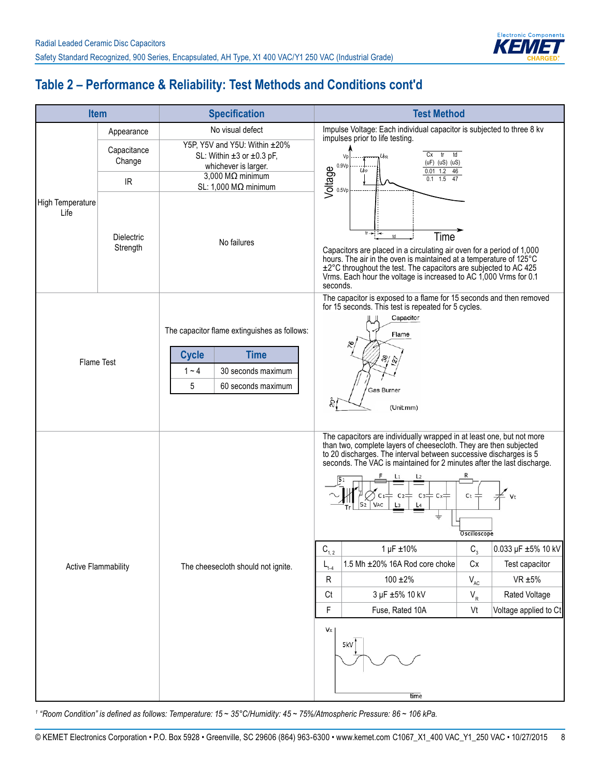

# **Table 2 – Performance & Reliability: Test Methods and Conditions cont'd**

|                            | <b>Item</b>                                                                                                                                                                                                                                                         | <b>Specification</b>                                                                                                                    | <b>Test Method</b>                                                                                                                                                                                                                                                                                                                                                                                                                                                                                                                                                                                                                                                                                                                                               |  |  |
|----------------------------|---------------------------------------------------------------------------------------------------------------------------------------------------------------------------------------------------------------------------------------------------------------------|-----------------------------------------------------------------------------------------------------------------------------------------|------------------------------------------------------------------------------------------------------------------------------------------------------------------------------------------------------------------------------------------------------------------------------------------------------------------------------------------------------------------------------------------------------------------------------------------------------------------------------------------------------------------------------------------------------------------------------------------------------------------------------------------------------------------------------------------------------------------------------------------------------------------|--|--|
|                            | Appearance                                                                                                                                                                                                                                                          | No visual defect                                                                                                                        | Impulse Voltage: Each individual capacitor is subjected to three 8 kv<br>impulses prior to life testing.                                                                                                                                                                                                                                                                                                                                                                                                                                                                                                                                                                                                                                                         |  |  |
|                            | Y5P, Y5V and Y5U: Within ±20%<br>Capacitance<br>SL: Within $\pm 3$ or $\pm 0.3$ pF,<br>Vp<br>Change<br>0.9Vp<br>whichever is larger.<br>Voltage<br>$U_{PP}$<br>$3,000 \text{ M}\Omega$ minimum<br>$\ensuremath{\mathsf{IR}}\xspace$<br>SL: 1,000 M $\Omega$ minimum |                                                                                                                                         | td<br>Cx<br>tr<br>Цĸ<br>$(uF)$ (uS) $(uS)$<br>$0.01$ 1.2 46<br>$1.5$ 47<br>0.1                                                                                                                                                                                                                                                                                                                                                                                                                                                                                                                                                                                                                                                                                   |  |  |
| High Temperature<br>Life   | <b>Dielectric</b><br>Strength                                                                                                                                                                                                                                       | No failures                                                                                                                             | 0.5Vp<br>$tr \rightarrow +$<br>Time<br>$^{\rm td}$<br>Capacitors are placed in a circulating air oven for a period of 1,000<br>hours. The air in the oven is maintained at a temperature of 125°C<br>±2°C throughout the test. The capacitors are subjected to AC 425<br>Vrms. Each hour the voltage is increased to AC 1,000 Vrms for 0.1<br>seconds.                                                                                                                                                                                                                                                                                                                                                                                                           |  |  |
| <b>Flame Test</b>          |                                                                                                                                                                                                                                                                     | The capacitor flame extinguishes as follows:<br><b>Time</b><br><b>Cycle</b><br>30 seconds maximum<br>$1 - 4$<br>5<br>60 seconds maximum | The capacitor is exposed to a flame for 15 seconds and then removed<br>for 15 seconds. This test is repeated for 5 cycles.<br>Capacitor<br>Flame<br>$\frac{8}{2}$<br>Gas Burner<br>(Unit:mm)                                                                                                                                                                                                                                                                                                                                                                                                                                                                                                                                                                     |  |  |
| <b>Active Flammability</b> |                                                                                                                                                                                                                                                                     | The cheesecloth should not ignite.                                                                                                      | The capacitors are individually wrapped in at least one, but not more<br>than two, complete layers of cheesecloth. They are then subjected<br>to 20 discharges. The interval between successive discharges is 5<br>seconds. The VAC is maintained for 2 minutes after the last discharge.<br>L <sub>2</sub><br>$C_3$<br>$Cx =$<br>Ct<br>Vt<br>VAC<br>L4<br>÷<br>Oscilloscope<br>$C_{1,2}$<br>1 µF ±10%<br>$C_{3}$<br>0.033 µF ±5% 10 kV<br>1.5 Mh ±20% 16A Rod core choke<br>$\mathsf{C}\mathsf{x}$<br>Test capacitor<br>$L_{1-4}$<br>${\sf R}$<br>$100 \pm 2\%$<br>$\mathsf{V}_{\mathsf{AC}}$<br>$VR \pm 5\%$<br>3 µF ±5% 10 kV<br>$\mathsf{V}_{\mathsf{R}}$<br>Rated Voltage<br>Ct<br>F<br>Fuse, Rated 10A<br>Vt<br>Voltage applied to Ct<br>Vx<br>5kV<br>time |  |  |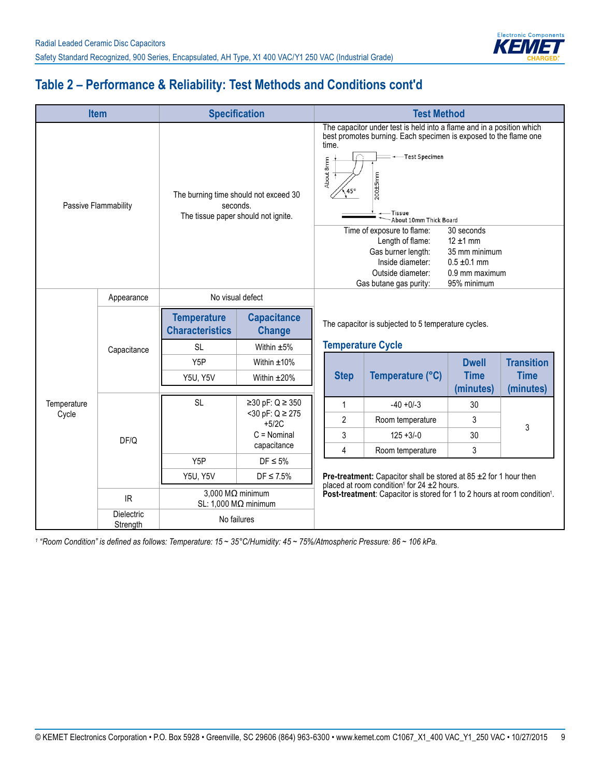

# **Table 2 – Performance & Reliability: Test Methods and Conditions cont'd**

|                      | <b>Item</b>                           | <b>Specification</b>                                      |                                                     |                                                                                                                                                                                                                                              | <b>Test Method</b>                                                            |                             |                                  |  |
|----------------------|---------------------------------------|-----------------------------------------------------------|-----------------------------------------------------|----------------------------------------------------------------------------------------------------------------------------------------------------------------------------------------------------------------------------------------------|-------------------------------------------------------------------------------|-----------------------------|----------------------------------|--|
| Passive Flammability |                                       | seconds.<br>The tissue paper should not ignite.           | The burning time should not exceed 30               | The capacitor under test is held into a flame and in a position which<br>best promotes burning. Each specimen is exposed to the flame one<br>time.<br>-Test Specimen<br>About 8mm<br>200±5mm<br>•—Tissue<br>About 10mm Thick Board           |                                                                               |                             |                                  |  |
|                      |                                       |                                                           |                                                     | Time of exposure to flame:<br>30 seconds<br>Length of flame:<br>$12 \pm 1$ mm<br>Gas burner length:<br>35 mm minimum<br>Inside diameter:<br>$0.5 \pm 0.1$ mm<br>0.9 mm maximum<br>Outside diameter:<br>95% minimum<br>Gas butane gas purity: |                                                                               |                             |                                  |  |
|                      | Appearance                            |                                                           | No visual defect                                    |                                                                                                                                                                                                                                              |                                                                               |                             |                                  |  |
|                      | Capacitance                           | <b>Temperature</b><br><b>Characteristics</b><br><b>SL</b> | <b>Capacitance</b><br><b>Change</b><br>Within $±5%$ | The capacitor is subjected to 5 temperature cycles.<br><b>Temperature Cycle</b>                                                                                                                                                              |                                                                               |                             |                                  |  |
|                      |                                       | Y <sub>5</sub> P<br><b>Y5U, Y5V</b>                       | Within $±10\%$<br>Within $±20\%$                    | <b>Step</b>                                                                                                                                                                                                                                  | Temperature (°C)                                                              | <b>Dwell</b><br><b>Time</b> | <b>Transition</b><br><b>Time</b> |  |
|                      |                                       |                                                           |                                                     |                                                                                                                                                                                                                                              |                                                                               | (minutes)                   | (minutes)                        |  |
| Temperature          |                                       | <b>SL</b>                                                 | ≥30 pF: $Q \ge 350$                                 | $\mathbf{1}$                                                                                                                                                                                                                                 | $-40 + 0/-3$                                                                  | 30                          |                                  |  |
| Cycle                |                                       |                                                           | $<$ 30 pF: Q $\ge$ 275<br>$+5/2C$                   | $\overline{2}$                                                                                                                                                                                                                               | Room temperature                                                              | 3                           | 3                                |  |
|                      | DF/Q                                  |                                                           | $C =$ Nominal                                       | 3                                                                                                                                                                                                                                            | $125 + 3/-0$                                                                  | 30                          |                                  |  |
|                      |                                       |                                                           | capacitance                                         | 4                                                                                                                                                                                                                                            | Room temperature                                                              | 3                           |                                  |  |
|                      |                                       | Y <sub>5</sub> P<br>Y5U, Y5V                              | $DF \leq 5\%$<br>$DF \leq 7.5\%$                    |                                                                                                                                                                                                                                              | <b>Pre-treatment:</b> Capacitor shall be stored at 85 $\pm$ 2 for 1 hour then |                             |                                  |  |
|                      | $\ensuremath{\mathsf{IR}}\xspace$     | SL: 1,000 MΩ minimum                                      | $3,000$ M $\Omega$ minimum                          | placed at room condition <sup>1</sup> for 24 ±2 hours.<br>Post-treatment: Capacitor is stored for 1 to 2 hours at room condition <sup>1</sup> .                                                                                              |                                                                               |                             |                                  |  |
|                      | Dielectric<br>No failures<br>Strength |                                                           |                                                     |                                                                                                                                                                                                                                              |                                                                               |                             |                                  |  |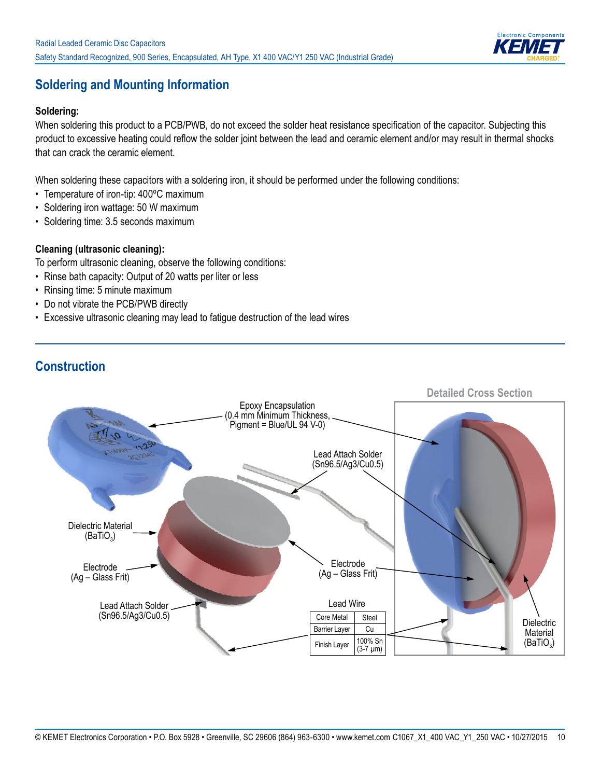

## **Soldering and Mounting Information**

#### **Soldering:**

When soldering this product to a PCB/PWB, do not exceed the solder heat resistance specification of the capacitor. Subjecting this product to excessive heating could reflow the solder joint between the lead and ceramic element and/or may result in thermal shocks that can crack the ceramic element.

When soldering these capacitors with a soldering iron, it should be performed under the following conditions:

- Temperature of iron-tip: 400ºC maximum
- Soldering iron wattage: 50 W maximum
- Soldering time: 3.5 seconds maximum

#### **Cleaning (ultrasonic cleaning):**

To perform ultrasonic cleaning, observe the following conditions:

- Rinse bath capacity: Output of 20 watts per liter or less
- Rinsing time: 5 minute maximum
- Do not vibrate the PCB/PWB directly
- Excessive ultrasonic cleaning may lead to fatigue destruction of the lead wires



## **Construction**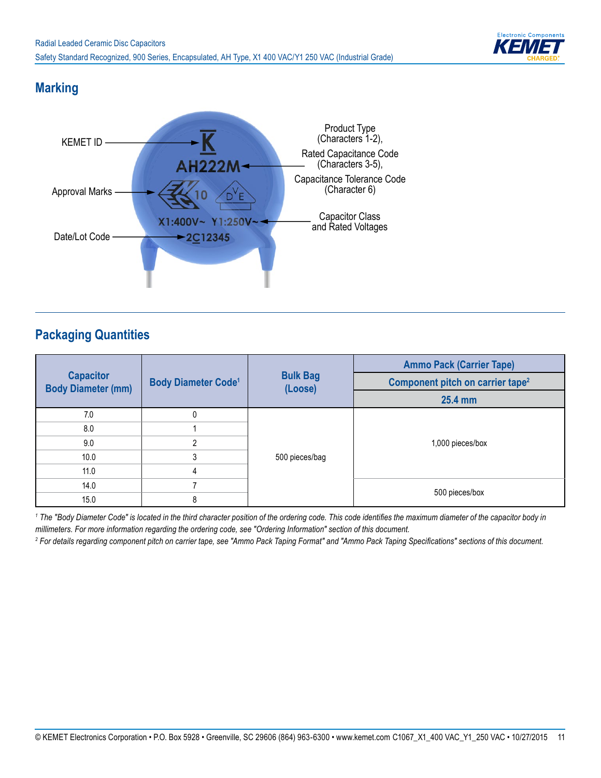

## **Marking**



## **Packaging Quantities**

|                                               |                                       |                            | <b>Ammo Pack (Carrier Tape)</b>              |  |  |
|-----------------------------------------------|---------------------------------------|----------------------------|----------------------------------------------|--|--|
| <b>Capacitor</b><br><b>Body Diameter (mm)</b> | <b>Body Diameter Code<sup>1</sup></b> | <b>Bulk Bag</b><br>(Loose) | Component pitch on carrier tape <sup>2</sup> |  |  |
|                                               |                                       |                            | 25.4 mm                                      |  |  |
| 7.0                                           | 0                                     |                            |                                              |  |  |
| 8.0                                           |                                       |                            |                                              |  |  |
| 9.0                                           | $\mathfrak{p}$                        |                            | 1,000 pieces/box                             |  |  |
| 10.0                                          | 3                                     | 500 pieces/bag             |                                              |  |  |
| 11.0                                          | 4                                     |                            |                                              |  |  |
| 14.0                                          |                                       |                            |                                              |  |  |
| 15.0                                          | 8                                     |                            | 500 pieces/box                               |  |  |

*1 The "Body Diameter Code" is located in the third character position of the ordering code. This code identifies the maximum diameter of the capacitor body in millimeters. For more information regarding the ordering code, see "Ordering Information" section of this document.*

*2 For details regarding component pitch on carrier tape, see "Ammo Pack Taping Format" and "Ammo Pack Taping Specifications" sections of this document.*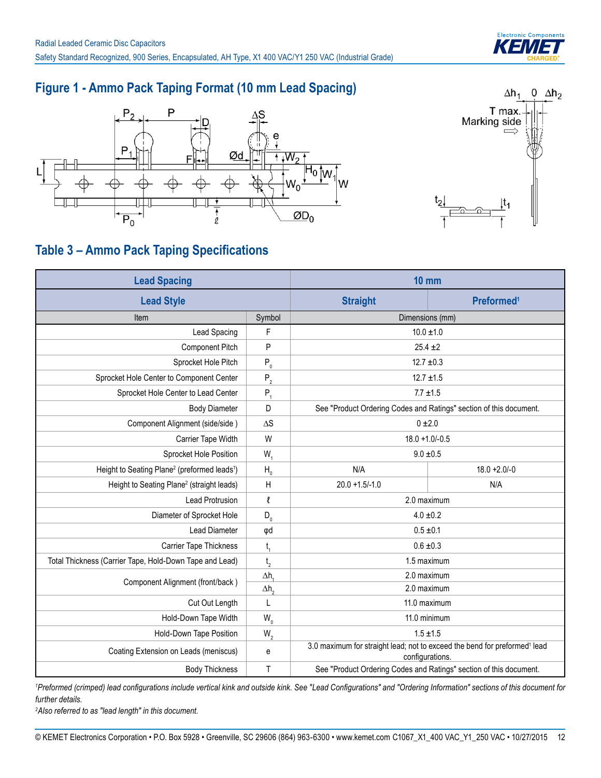

## **Figure 1 - Ammo Pack Taping Format (10 mm Lead Spacing)**





# **Table 3 – Ammo Pack Taping Specifications**

| <b>Lead Spacing</b>                                                  |                           | $10 \text{ mm}$                                                                                          |                        |  |
|----------------------------------------------------------------------|---------------------------|----------------------------------------------------------------------------------------------------------|------------------------|--|
| <b>Lead Style</b>                                                    |                           | <b>Straight</b>                                                                                          | Preformed <sup>1</sup> |  |
| Item                                                                 | Symbol                    | Dimensions (mm)                                                                                          |                        |  |
| Lead Spacing                                                         | $\mathsf F$               | $10.0 \pm 1.0$                                                                                           |                        |  |
| <b>Component Pitch</b>                                               | $\sf P$                   | $25.4 \pm 2$                                                                                             |                        |  |
| Sprocket Hole Pitch                                                  | $P_0$                     | $12.7 \pm 0.3$                                                                                           |                        |  |
| Sprocket Hole Center to Component Center                             | $P_{2}$                   | $12.7 \pm 1.5$                                                                                           |                        |  |
| Sprocket Hole Center to Lead Center                                  | $P_{1}$                   | $7.7 \pm 1.5$                                                                                            |                        |  |
| <b>Body Diameter</b>                                                 | D                         | See "Product Ordering Codes and Ratings" section of this document.                                       |                        |  |
| Component Alignment (side/side)                                      | $\Delta S$                | $0 + 2.0$                                                                                                |                        |  |
| Carrier Tape Width                                                   |                           | $18.0 + 1.0 - 0.5$                                                                                       |                        |  |
| Sprocket Hole Position                                               | $W_1$<br>$9.0 \pm 0.5$    |                                                                                                          |                        |  |
| Height to Seating Plane <sup>2</sup> (preformed leads <sup>1</sup> ) | H <sub>0</sub>            | N/A                                                                                                      | $18.0 + 2.0 - 0$       |  |
| Height to Seating Plane <sup>2</sup> (straight leads)                | $\boldsymbol{\mathsf{H}}$ | $20.0 + 1.5/-1.0$                                                                                        | N/A                    |  |
| <b>Lead Protrusion</b>                                               | $\ell$                    | 2.0 maximum                                                                                              |                        |  |
| Diameter of Sprocket Hole                                            | $D_0$                     | $4.0 \pm 0.2$                                                                                            |                        |  |
| <b>Lead Diameter</b>                                                 | φd                        | $0.5 \pm 0.1$                                                                                            |                        |  |
| Carrier Tape Thickness                                               | $t_{1}$                   | $0.6 \pm 0.3$                                                                                            |                        |  |
| Total Thickness (Carrier Tape, Hold-Down Tape and Lead)              | t <sub>2</sub>            | 1.5 maximum                                                                                              |                        |  |
| Component Alignment (front/back)                                     | $\Delta h$                | 2.0 maximum                                                                                              |                        |  |
|                                                                      | $\Delta h$ <sub>2</sub>   | 2.0 maximum                                                                                              |                        |  |
| Cut Out Length                                                       | L                         | 11.0 maximum                                                                                             |                        |  |
| Hold-Down Tape Width                                                 | $W_0$                     | 11.0 minimum                                                                                             |                        |  |
| Hold-Down Tape Position                                              | $\mathsf{W}_{\mathsf{2}}$ | $1.5 \pm 1.5$                                                                                            |                        |  |
| Coating Extension on Leads (meniscus)                                | e                         | 3.0 maximum for straight lead; not to exceed the bend for preformed <sup>1</sup> lead<br>configurations. |                        |  |
| <b>Body Thickness</b>                                                | $\mathsf T$               | See "Product Ordering Codes and Ratings" section of this document.                                       |                        |  |

*1 Preformed (crimped) lead configurations include vertical kink and outside kink. See "Lead Configurations" and "Ordering Information" sections of this document for further details.*

*2 Also referred to as "lead length" in this document.*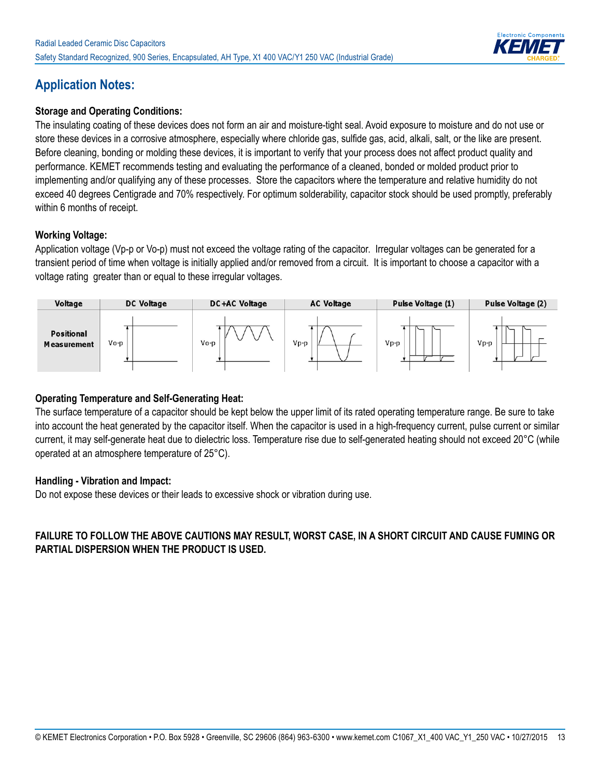

## **Application Notes:**

#### **Storage and Operating Conditions:**

The insulating coating of these devices does not form an air and moisture-tight seal. Avoid exposure to moisture and do not use or store these devices in a corrosive atmosphere, especially where chloride gas, sulfide gas, acid, alkali, salt, or the like are present. Before cleaning, bonding or molding these devices, it is important to verify that your process does not affect product quality and performance. KEMET recommends testing and evaluating the performance of a cleaned, bonded or molded product prior to implementing and/or qualifying any of these processes. Store the capacitors where the temperature and relative humidity do not exceed 40 degrees Centigrade and 70% respectively. For optimum solderability, capacitor stock should be used promptly, preferably within 6 months of receipt.

#### **Working Voltage:**

Application voltage (Vp-p or Vo-p) must not exceed the voltage rating of the capacitor. Irregular voltages can be generated for a transient period of time when voltage is initially applied and/or removed from a circuit. It is important to choose a capacitor with a voltage rating greater than or equal to these irregular voltages.



#### **Operating Temperature and Self-Generating Heat:**

The surface temperature of a capacitor should be kept below the upper limit of its rated operating temperature range. Be sure to take into account the heat generated by the capacitor itself. When the capacitor is used in a high-frequency current, pulse current or similar current, it may self-generate heat due to dielectric loss. Temperature rise due to self-generated heating should not exceed 20°C (while operated at an atmosphere temperature of 25°C).

#### **Handling - Vibration and Impact:**

Do not expose these devices or their leads to excessive shock or vibration during use.

#### **FAILURE TO FOLLOW THE ABOVE CAUTIONS MAY RESULT, WORST CASE, IN A SHORT CIRCUIT AND CAUSE FUMING OR PARTIAL DISPERSION WHEN THE PRODUCT IS USED.**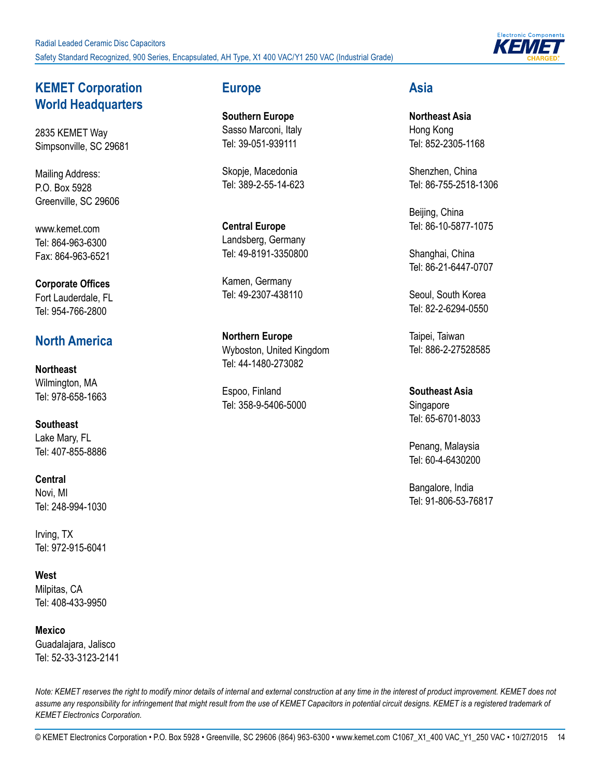

### **KEMET Corporation World Headquarters**

2835 KEMET Way Simpsonville, SC 29681

Mailing Address: P.O. Box 5928 Greenville, SC 29606

www.kemet.com Tel: 864-963-6300 Fax: 864-963-6521

**Corporate Offices** Fort Lauderdale, FL Tel: 954-766-2800

### **North America**

**Northeast** Wilmington, MA Tel: 978-658-1663

**Southeast** Lake Mary, FL Tel: 407-855-8886

**Central** Novi, MI Tel: 248-994-1030

Irving, TX Tel: 972-915-6041

**West** Milpitas, CA Tel: 408-433-9950

**Mexico**  Guadalajara, Jalisco Tel: 52-33-3123-2141

#### **Europe**

**Southern Europe** Sasso Marconi, Italy Tel: 39-051-939111

Skopje, Macedonia Tel: 389-2-55-14-623

**Central Europe** Landsberg, Germany Tel: 49-8191-3350800

Kamen, Germany Tel: 49-2307-438110

**Northern Europe** Wyboston, United Kingdom Tel: 44-1480-273082

Espoo, Finland Tel: 358-9-5406-5000

#### **Asia**

**Northeast Asia** Hong Kong Tel: 852-2305-1168

Shenzhen, China Tel: 86-755-2518-1306

Beijing, China Tel: 86-10-5877-1075

Shanghai, China Tel: 86-21-6447-0707

Seoul, South Korea Tel: 82-2-6294-0550

Taipei, Taiwan Tel: 886-2-27528585

**Southeast Asia** Singapore Tel: 65-6701-8033

Penang, Malaysia Tel: 60-4-6430200

Bangalore, India Tel: 91-806-53-76817

*Note: KEMET reserves the right to modify minor details of internal and external construction at any time in the interest of product improvement. KEMET does not*  assume any responsibility for infringement that might result from the use of KEMET Capacitors in potential circuit designs. KEMET is a registered trademark of *KEMET Electronics Corporation.* 

© KEMET Electronics Corporation • P.O. Box 5928 • Greenville, SC 29606 (864) 963-6300 • www.kemet.com C1067\_X1\_400 VAC\_Y1\_250 VAC • 10/27/2015 14